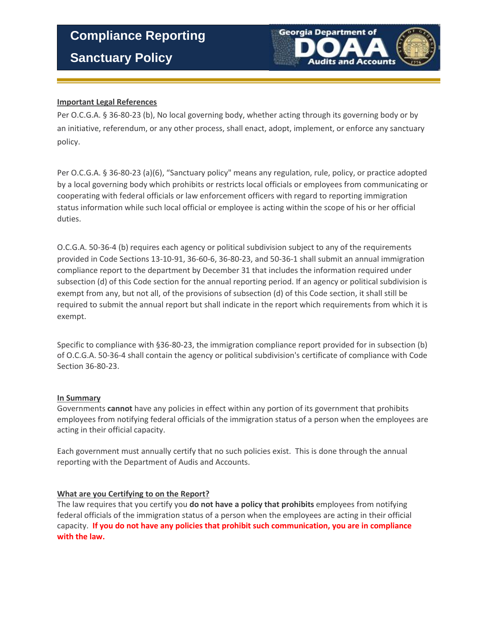**Sanctuary Policy** 



# **Important Legal References**

Per O.C.G.A. § 36-80-23 (b), No local governing body, whether acting through its governing body or by an initiative, referendum, or any other process, shall enact, adopt, implement, or enforce any sanctuary policy.

Per O.C.G.A. § 36-80-23 (a)(6), "Sanctuary policy" means any regulation, rule, policy, or practice adopted by a local governing body which prohibits or restricts local officials or employees from communicating or cooperating with federal officials or law enforcement officers with regard to reporting immigration status information while such local official or employee is acting within the scope of his or her official duties.

O.C.G.A. 50-36-4 (b) requires each agency or political subdivision subject to any of the requirements provided in Code Sections 13-10-91, 36-60-6, 36-80-23, and 50-36-1 shall submit an annual immigration compliance report to the department by December 31 that includes the information required under subsection (d) of this Code section for the annual reporting period. If an agency or political subdivision is exempt from any, but not all, of the provisions of subsection (d) of this Code section, it shall still be required to submit the annual report but shall indicate in the report which requirements from which it is exempt.

Specific to compliance with §36-80-23, the immigration compliance report provided for in subsection (b) of O.C.G.A. 50-36-4 shall contain the agency or political subdivision's certificate of compliance with Code Section 36-80-23.

### **In Summary**

Governments **cannot** have any policies in effect within any portion of its government that prohibits employees from notifying federal officials of the immigration status of a person when the employees are acting in their official capacity.

Each government must annually certify that no such policies exist. This is done through the annual reporting with the Department of Audis and Accounts.

### **What are you Certifying to on the Report?**

The law requires that you certify you **do not have a policy that prohibits** employees from notifying federal officials of the immigration status of a person when the employees are acting in their official capacity. **If you do not have any policies that prohibit such communication, you are in compliance with the law.**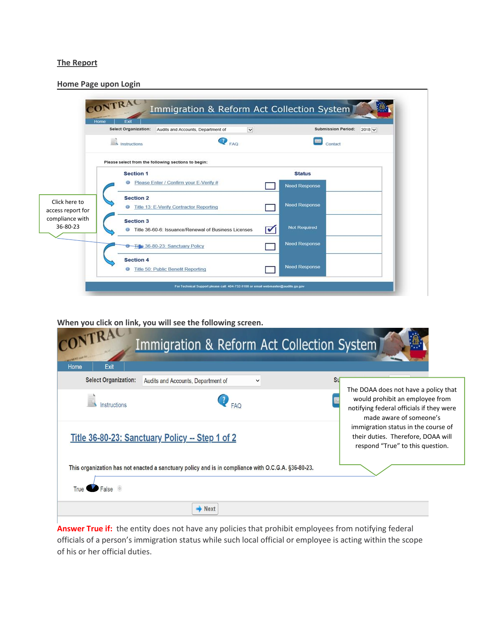#### **The Report**

|                                                                   | <b>Select Organization:</b>        | Audits and Accounts, Department of                   | $\checkmark$ | <b>Submission Period:</b>             | $2018$ $\vee$ |
|-------------------------------------------------------------------|------------------------------------|------------------------------------------------------|--------------|---------------------------------------|---------------|
|                                                                   | Instructions                       | B<br>FAQ                                             |              | Contact                               |               |
|                                                                   |                                    | Please select from the following sections to begin:  |              |                                       |               |
|                                                                   | <b>Section 1</b><br>⊕              | Please Enter / Confirm your E-Verify #               |              | <b>Status</b><br><b>Need Response</b> |               |
| Click here to<br>access report for<br>compliance with<br>36-80-23 | <b>Section 2</b><br>$\circledcirc$ | Title 13: E-Verify Contractor Reporting              |              | <b>Need Response</b>                  |               |
|                                                                   | <b>Section 3</b>                   | Title 36-60-6: Issuance/Renewal of Business Licenses | ⊽            | <b>Not Required</b>                   |               |
|                                                                   |                                    | Tille 36-80-23: Sanctuary Policy                     |              | Need Response                         |               |
|                                                                   | <b>Section 4</b><br>$\circ$        | Title 50: Public Benefit Reporting                   |              | <b>Need Response</b>                  |               |

**When you click on link, you will see the following screen.**

| CONTRACT<br>Exit<br>Home    | Immigration & Reform Act Collection System                                                         |                                                                                                               |
|-----------------------------|----------------------------------------------------------------------------------------------------|---------------------------------------------------------------------------------------------------------------|
| <b>Select Organization:</b> | Audits and Accounts, Department of<br>$\checkmark$                                                 | <b>Su</b><br>The DOAA does not have a policy that                                                             |
| Instructions                |                                                                                                    | would prohibit an employee from<br>notifying federal officials if they were<br>made aware of someone's        |
|                             | Title 36-80-23: Sanctuary Policy -- Step 1 of 2                                                    | immigration status in the course of<br>their duties. Therefore, DOAA will<br>respond "True" to this question. |
| False <b>O</b><br>True      | This organization has not enacted a sanctuary policy and is in compliance with O.C.G.A. §36-80-23. |                                                                                                               |
|                             | <b>Next</b>                                                                                        |                                                                                                               |

**Answer True if:** the entity does not have any policies that prohibit employees from notifying federal officials of a person's immigration status while such local official or employee is acting within the scope of his or her official duties.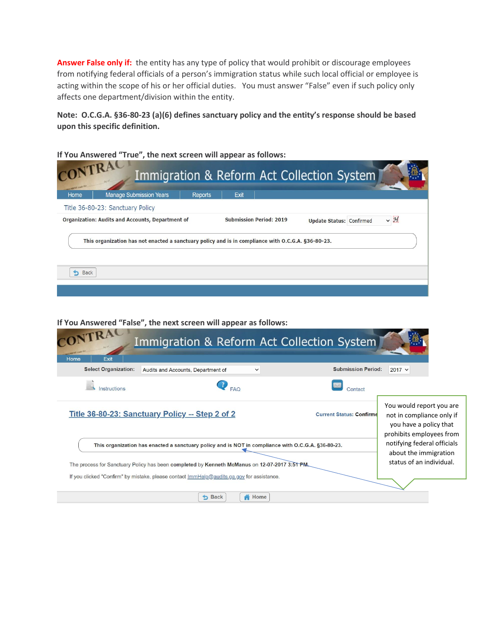**Answer False only if:** the entity has any type of policy that would prohibit or discourage employees from notifying federal officials of a person's immigration status while such local official or employee is acting within the scope of his or her official duties. You must answer "False" even if such policy only affects one department/division within the entity.

**Note: O.C.G.A. §36-80-23 (a)(6) defines sanctuary policy and the entity's response should be based upon this specific definition.** 

Immigration & Reform Act Collection System Home **Manage Submission Years** Reports Exit Title 36-80-23: Sanctuary Policy Organization: Audits and Accounts, Department of **Submission Period: 2019**  $\vee$  H **Update Status: Confirmed** This organization has not enacted a sanctuary policy and is in compliance with O.C.G.A. §36-80-23. **b** Back

**If You Answered "True", the next screen will appear as follows:**

**If You Answered "False", the next screen will appear as follows:**

| CONTRAC                                     | Immigration & Reform Act Collection System                                                                                                                                                 |                                                                                                                                                |
|---------------------------------------------|--------------------------------------------------------------------------------------------------------------------------------------------------------------------------------------------|------------------------------------------------------------------------------------------------------------------------------------------------|
| Exit<br>Home<br><b>Select Organization:</b> | Audits and Accounts, Department of<br>$\check{ }$                                                                                                                                          | <b>Submission Period:</b><br>$2017 \times$                                                                                                     |
| Instructions                                | <b>FAQ</b>                                                                                                                                                                                 | Contact                                                                                                                                        |
|                                             | Title 36-80-23: Sanctuary Policy -- Step 2 of 2                                                                                                                                            | You would report you are<br><b>Current Status: Confirme</b><br>not in compliance only if<br>you have a policy that<br>prohibits employees from |
|                                             | notifying federal officials<br>This organization has enacted a sanctuary policy and is NOT in compliance with O.C.G.A. §36-80-23.<br>about the immigration                                 |                                                                                                                                                |
|                                             | The process for Sanctuary Policy has been completed by Kenneth McManus on 12-07-2017 3:51 PM.<br>If you clicked "Confirm" by mistake, please contact ImmHelp@audits.ga.gov for assistance. | status of an individual.                                                                                                                       |
|                                             | Home<br><b>b</b> Back                                                                                                                                                                      |                                                                                                                                                |